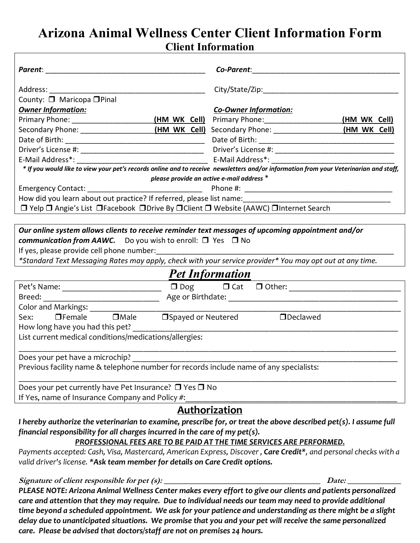## **Arizona Animal Wellness Center Client Information Form Client Information**

|                                                                                                                                                                                                                                                                                       | <b>Co-Parent:</b> The Contract of the Contract of the Contract of the Contract of the Contract of the Contract of the Contract of the Contract of the Contract of the Contract of the Contract of the Contract of the Contract of t |  |
|---------------------------------------------------------------------------------------------------------------------------------------------------------------------------------------------------------------------------------------------------------------------------------------|-------------------------------------------------------------------------------------------------------------------------------------------------------------------------------------------------------------------------------------|--|
| Address: Andreas Address and Address and Address and Address and Address and Address and Address and Address a                                                                                                                                                                        |                                                                                                                                                                                                                                     |  |
| County: □ Maricopa □ Pinal                                                                                                                                                                                                                                                            |                                                                                                                                                                                                                                     |  |
| <b>Owner Information:</b>                                                                                                                                                                                                                                                             | <b>Co-Owner Information:</b>                                                                                                                                                                                                        |  |
|                                                                                                                                                                                                                                                                                       | (HM WK Cell)                                                                                                                                                                                                                        |  |
|                                                                                                                                                                                                                                                                                       |                                                                                                                                                                                                                                     |  |
|                                                                                                                                                                                                                                                                                       |                                                                                                                                                                                                                                     |  |
|                                                                                                                                                                                                                                                                                       |                                                                                                                                                                                                                                     |  |
|                                                                                                                                                                                                                                                                                       |                                                                                                                                                                                                                                     |  |
|                                                                                                                                                                                                                                                                                       | * If you would like to view your pet's records online and to receive newsletters and/or information from your Veterinarian and staff,                                                                                               |  |
|                                                                                                                                                                                                                                                                                       | please provide an active e-mail address *                                                                                                                                                                                           |  |
|                                                                                                                                                                                                                                                                                       |                                                                                                                                                                                                                                     |  |
|                                                                                                                                                                                                                                                                                       |                                                                                                                                                                                                                                     |  |
| □ Yelp □ Angie's List □ Facebook □ Drive By □ Client □ Website (AAWC) □ Internet Search                                                                                                                                                                                               |                                                                                                                                                                                                                                     |  |
|                                                                                                                                                                                                                                                                                       |                                                                                                                                                                                                                                     |  |
| Our online system allows clients to receive reminder text messages of upcoming appointment and/or<br>communication from AAWC. Do you wish to enroll: $\Box$ Yes $\Box$ No<br>*Standard Text Messaging Rates may apply, check with your service provider* You may opt out at any time. |                                                                                                                                                                                                                                     |  |
| <b>Pet Information</b>                                                                                                                                                                                                                                                                |                                                                                                                                                                                                                                     |  |
|                                                                                                                                                                                                                                                                                       | $Pet's Name:$ $\qquad \qquad \Box$                                                                                                                                                                                                  |  |
|                                                                                                                                                                                                                                                                                       |                                                                                                                                                                                                                                     |  |
|                                                                                                                                                                                                                                                                                       |                                                                                                                                                                                                                                     |  |
| □Spayed or Neutered □Declawed<br>$\Box$ Female $\Box$ Male<br>Sex:<br>How long have you had this pet?                                                                                                                                                                                 |                                                                                                                                                                                                                                     |  |
| List current medical conditions/medications/allergies:                                                                                                                                                                                                                                |                                                                                                                                                                                                                                     |  |
| Does your pet have a microchip?                                                                                                                                                                                                                                                       |                                                                                                                                                                                                                                     |  |
| Previous facility name & telephone number for records include name of any specialists:                                                                                                                                                                                                |                                                                                                                                                                                                                                     |  |
| Does your pet currently have Pet Insurance? □ Yes □ No                                                                                                                                                                                                                                |                                                                                                                                                                                                                                     |  |
| If Yes, name of Insurance Company and Policy #:                                                                                                                                                                                                                                       |                                                                                                                                                                                                                                     |  |
| Authorization                                                                                                                                                                                                                                                                         |                                                                                                                                                                                                                                     |  |
| I hereby authorize the veterinarian to examine, prescribe for, or treat the above described pet(s). I assume full                                                                                                                                                                     |                                                                                                                                                                                                                                     |  |

*financial responsibility for all charges incurred in the care of my pet(s).* 

## *PROFESSIONAL FEES ARE TO BE PAID AT THE TIME SERVICES ARE PERFORMED.*

*Payments accepted: Cash, Visa, Mastercard, American Express, Discover , Care Credit\*, and personal checks with a valid driver's license. \*Ask team member for details on Care Credit options.*

**Signature of client responsible for pet (s): \_\_\_\_\_\_\_\_\_\_\_\_\_\_\_\_\_\_\_\_\_\_\_\_\_\_\_\_\_\_\_\_\_\_\_\_\_\_ Date: \_\_\_\_\_\_\_\_\_\_\_\_\_**

*PLEASE NOTE: Arizona Animal Wellness Center makes every effort to give our clients and patients personalized care and attention that they may require. Due to individual needs our team may need to provide additional time beyond a scheduled appointment. We ask for your patience and understanding as there might be a slight delay due to unanticipated situations. We promise that you and your pet will receive the same personalized care. Please be advised that doctors/staff are not on premises 24 hours.*